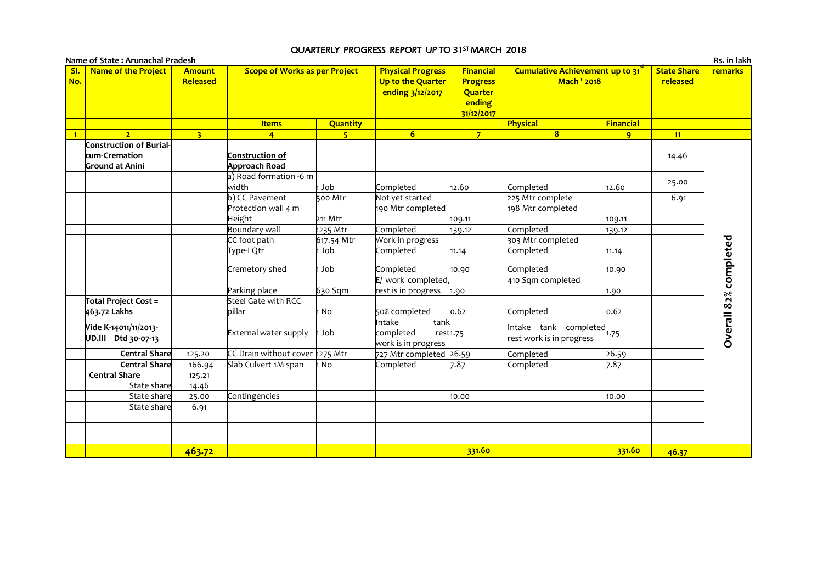## <u>QUARTERLY PROGRESS REPORT UP TO 31<sup>st</sup> MARCH 2018</u>

| SI.<br><b>Name of the Project</b><br>No.                                  | <b>Amount</b><br>Released | <b>Scope of Works as per Project</b>    |                 | <b>Physical Progress</b><br>Up to the Quarter<br>ending 3/12/2017 | <b>Financial</b><br><b>Progress</b><br>Quarter<br>ending<br>31/12/2017 | Cumulative Achievement up to 31<br><b>Mach ' 2018</b>         |                | <b>State Share</b><br>released | <b>remarks</b>        |
|---------------------------------------------------------------------------|---------------------------|-----------------------------------------|-----------------|-------------------------------------------------------------------|------------------------------------------------------------------------|---------------------------------------------------------------|----------------|--------------------------------|-----------------------|
|                                                                           |                           | <b>Items</b>                            | <b>Quantity</b> |                                                                   |                                                                        | Physical                                                      | Financial      |                                |                       |
| $\overline{2}$<br>$\blacksquare$                                          | 3 <sup>1</sup>            | $\overline{4}$                          | 5 <sub>1</sub>  | 6 <sup>1</sup>                                                    | 7 <sup>1</sup>                                                         | $\overline{8}$                                                | 9 <sup>°</sup> | 11                             |                       |
| <b>Construction of Burial-</b><br>kum-Cremation<br><b>Ground at Anini</b> |                           | Construction of<br><b>Approach Road</b> |                 |                                                                   |                                                                        |                                                               |                | 14.46                          |                       |
|                                                                           |                           | a) Road formation -6 m<br>width         | 1 Job           | Completed                                                         | 12.60                                                                  | Completed                                                     | 12.60          | 25.00                          |                       |
|                                                                           |                           | b) CC Pavement                          | 500 Mtr         | Not yet started                                                   |                                                                        | 225 Mtr complete                                              |                | 6.91                           |                       |
|                                                                           |                           | Protection wall 4 m<br>Height           | $211$ Mtr       | 190 Mtr completed                                                 | 109.11                                                                 | 198 Mtr completed                                             | 109.11         |                                |                       |
|                                                                           |                           | <b>Boundary wall</b>                    | 1235 Mtr        | Completed                                                         | 139.12                                                                 | Completed                                                     | 139.12         |                                |                       |
|                                                                           |                           | CC foot path                            | 617.54 Mtr      | Work in progress                                                  |                                                                        | 303 Mtr completed                                             |                |                                |                       |
|                                                                           |                           | Type-I Qtr                              | Job             | Completed                                                         | 11.14                                                                  | Completed                                                     | 11.14          |                                |                       |
|                                                                           |                           | Cremetory shed                          | dol ı           | Completed                                                         | 10.90                                                                  | Completed                                                     | 10.90          |                                |                       |
|                                                                           |                           | Parking place                           | 630 Sqm         | E/ work completed,<br>rest is in progress                         | 1.90                                                                   | 410 Sqm completed                                             | 1.90           |                                |                       |
| <b>Total Project Cost =</b><br>463.72 Lakhs                               |                           | Steel Gate with RCC<br>billar           | No              | 50% completed                                                     | 0.62                                                                   | Completed                                                     | 0.62           |                                |                       |
| Vide K-14011/11/2013-<br>UD.III Dtd 30-07-13                              |                           | External water supply                   | Job             | Intake<br>tank<br>completed<br>work is in progress                | rest <sub>1.75</sub>                                                   | Intake tank completed $\parallel$<br>rest work is in progress |                |                                | Overall 82% completed |
| Central Share                                                             | 125.20                    | CC Drain without cover 1275 Mtr         |                 | 727 Mtr completed 26.59                                           |                                                                        | Completed                                                     | 26.59          |                                |                       |
| Central Share                                                             | 166.94                    | Slab Culvert 1M span                    | No              | Completed                                                         | 7.87                                                                   | Completed                                                     | 7.87           |                                |                       |
| <b>Central Share</b>                                                      | 125.21                    |                                         |                 |                                                                   |                                                                        |                                                               |                |                                |                       |
| State share                                                               | 14.46                     |                                         |                 |                                                                   |                                                                        |                                                               |                |                                |                       |
| State share<br>State share                                                | 25.00<br>6.91             | Contingencies                           |                 |                                                                   | 10.00                                                                  |                                                               | 10.00          |                                |                       |
|                                                                           |                           |                                         |                 |                                                                   |                                                                        |                                                               |                |                                |                       |
|                                                                           | 463.72                    |                                         |                 |                                                                   | 331.60                                                                 |                                                               | 331.60         | 46.37                          |                       |